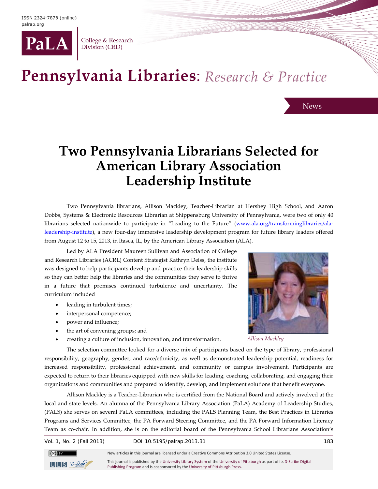

College & Research Division (CRD)

## Pennsylvania Libraries: Research & Practice

## **Two Pennsylvania Librarians Selected for American Library Association Leadership Institute**

Two Pennsylvania librarians, Allison Mackley, Teacher-Librarian at Hershey High School, and Aaron Dobbs, Systems & Electronic Resources Librarian at Shippensburg University of Pennsylvania, were two of only 40 librarians selected nationwide to participate in "Leading to the Future" [\(www.ala.org/transforminglibraries/ala](http://www.ala.org/transforminglibraries/ala-leadership-institute)[leadership-institute\)](http://www.ala.org/transforminglibraries/ala-leadership-institute), a new four-day immersive leadership development program for future library leaders offered from August 12 to 15, 2013, in Itasca, IL, by the American Library Association (ALA).

Led by ALA President Maureen Sullivan and Association of College and Research Libraries (ACRL) Content Strategist Kathryn Deiss, the institute was designed to help participants develop and practice their leadership skills so they can better help the libraries and the communities they serve to thrive in a future that promises continued turbulence and uncertainty. The curriculum included

- leading in turbulent times;
- interpersonal competence;
- power and influence;
- the art of convening groups; and
- creating a culture of inclusion, innovation, and transformation.



News

*Allison Mackley*

The selection committee looked for a diverse mix of participants based on the type of library, professional responsibility, geography, gender, and race/ethnicity, as well as demonstrated leadership potential, readiness for increased responsibility, professional achievement, and community or campus involvement. Participants are expected to return to their libraries equipped with new skills for leading, coaching, collaborating, and engaging their organizations and communities and prepared to identify, develop, and implement solutions that benefit everyone.

Allison Mackley is a Teacher-Librarian who is certified from the National Board and actively involved at the local and state levels. An alumna of the Pennsylvania Library Association (PaLA) Academy of Leadership Studies, (PALS) she serves on several PaLA committees, including the PALS Planning Team, the Best Practices in Libraries Programs and Services Committee, the PA Forward Steering Committee, and the PA Forward Information Literacy Team as co-chair. In addition, she is on the editorial board of the Pennsylvania School Librarians Association's

Vol. 1, No. 2 (Fall 2013) DOI 10.5195/palrap.2013.31 183



This journal is published by th[e University Library System](http://www.library.pitt.edu/) of th[e University of Pittsburgh](http://www.pitt.edu/) as part of it[s D-Scribe Digital](http://www.library.pitt.edu/e-journals)  [Publishing Program](http://www.library.pitt.edu/e-journals) and is cosponsored by th[e University of Pittsburgh Press.](http://upress.pitt.edu/)